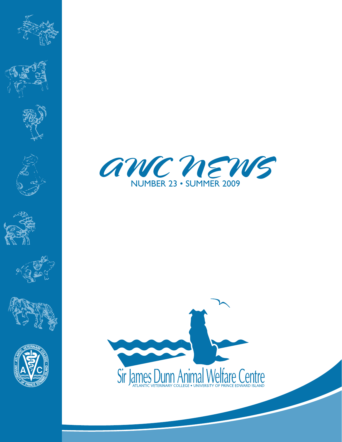















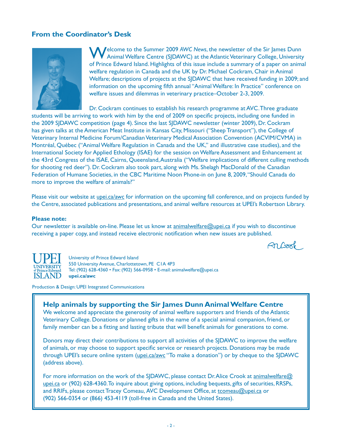# **From the Coordinator's Desk**



**Velcome to the Summer 2009 AWC News, the newsletter of the Sir James Dunn** Animal Welfare Centre (SJDAWC) at the Atlantic Veterinary College, University of Prince Edward Island. Highlights of this issue include a summary of a paper on animal welfare regulation in Canada and the UK by Dr. Michael Cockram, Chair in Animal Welfare; descriptions of projects at the SJDAWC that have received funding in 2009; and information on the upcoming fifth annual "Animal Welfare: In Practice" conference on welfare issues and dilemmas in veterinary practice–October 2-3, 2009.

Dr. Cockram continues to establish his research programme at AVC. Three graduate

students will be arriving to work with him by the end of 2009 on specific projects, including one funded in the 2009 SJDAWC competition (page 4). Since the last SJDAWC newsletter (winter 2009), Dr. Cockram has given talks at the American Meat Institute in Kansas City, Missouri ("Sheep Transport"), the College of Veterinary Internal Medicine Forum/Canadian Veterinary Medical Association Convention (ACVIM/CVMA) in Montréal, Québec ("Animal Welfare Regulation in Canada and the UK," and illustrative case studies), and the International Society for Applied Ethology (ISAE) for the session on Welfare Assessment and Enhancement at the 43rd Congress of the ISAE, Cairns, Queensland, Australia ("Welfare implications of different culling methods for shooting red deer"). Dr. Cockram also took part, along with Ms. Shelagh MacDonald of the Canadian Federation of Humane Societies, in the CBC Maritime Noon Phone-in on June 8, 2009, "Should Canada do more to improve the welfare of animals?"

Please visit our website at upei.ca/awc for information on the upcoming fall conference, and on projects funded by the Centre, associated publications and presentations, and animal welfare resources at UPEI's Robertson Library.

#### **Please note:**

Our newsletter is available on-line. Please let us know at animalwelfare@upei.ca if you wish to discontinue receiving a paper copy, and instead receive electronic notification when new issues are published.

Arbook



University of Prince Edward Island 550 University Avenue, Charlottetown, PE C1A 4P3 Tel: (902) 628-4360 • Fax: (902) 566-0958 • E-mail: animalwelfare@upei.ca **upei.ca/awc**

Production & Design: UPEI Integrated Communications

### **Help animals by supporting the Sir James Dunn Animal Welfare Centre**

We welcome and appreciate the generosity of animal welfare supporters and friends of the Atlantic Veterinary College. Donations or planned gifts in the name of a special animal companion, friend, or family member can be a fitting and lasting tribute that will benefit animals for generations to come.

Donors may direct their contributions to support all activities of the SJDAWC to improve the welfare of animals, or may choose to support specific service or research projects. Donations may be made through UPEI's secure online system (upei.ca/awc "To make a donation") or by cheque to the SJDAWC (address above).

For more information on the work of the SJDAWC, please contact Dr. Alice Crook at animalwelfare@ upei.ca or (902) 628-4360. To inquire about giving options, including bequests, gifts of securities, RRSPs, and RRIFs, please contact Tracey Comeau, AVC Development Office, at tcomeau@upei.ca or (902) 566-0354 or (866) 453-4119 (toll-free in Canada and the United States).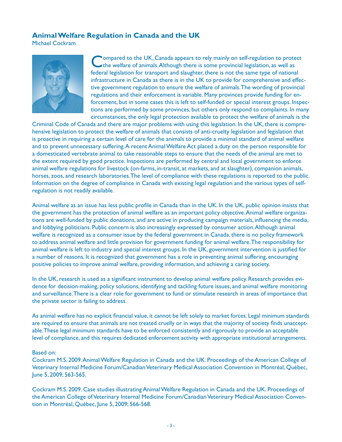# **Animal Welfare Regulation in Canada and the UK**

Michael Cockram



ompared to the UK, Canada appears to rely mainly on self-regulation to protect the welfare of animals. Although there is some provincial legislation, as well as federal legislation for transport and slaughter, there is not the same type of national infrastructure in Canada as there is in the UK to provide for comprehensive and effective government regulation to ensure the welfare of animals. The wording of provincial regulations and their enforcement is variable. Many provinces provide funding for enforcement, but in some cases this is left to self-funded or special interest groups. Inspections are performed by some provinces, but others only respond to complaints. In many circumstances, the only legal protection available to protect the welfare of animals is the

Criminal Code of Canada and there are major problems with using this legislation. In the UK, there is comprehensive legislation to protect the welfare of animals that consists of anti-cruelty legislation and legislation that is proactive in requiring a certain level of care for the animals to provide a minimal standard of animal welfare and to prevent unnecessary suffering. A recent Animal Welfare Act placed a duty on the person responsible for a domesticated vertebrate animal to take reasonable steps to ensure that the needs of the animal are met to the extent required by good practice. Inspections are performed by central and local government to enforce animal welfare regulations for livestock (on-farms, in-transit, at markets, and at slaughter), companion animals, horses, zoos, and research laboratories. The level of compliance with these regulations is reported to the public. Information on the degree of compliance in Canada with existing legal regulation and the various types of selfregulation is not readily available.

Animal welfare as an issue has less public profile in Canada than in the UK. In the UK, public opinion insists that the government has the protection of animal welfare as an important policy objective. Animal welfare organizations are well-funded by public donations, and are active in producing campaign materials, influencing the media, and lobbying politicians. Public concern is also increasingly expressed by consumer action. Although animal welfare is recognized as a consumer issue by the federal government in Canada, there is no policy framework to address animal welfare and little provision for government funding for animal welfare. The responsibility for animal welfare is left to industry and special interest groups. In the UK, government intervention is justified for a number of reasons. It is recognized that government has a role in preventing animal suffering, encouraging positive policies to improve animal welfare, providing information, and achieving a caring society.

In the UK, research is used as a significant instrument to develop animal welfare policy. Research provides evidence for decision-making, policy solutions, identifying and tackling future issues, and animal welfare monitoring and surveillance. There is a clear role for government to fund or stimulate research in areas of importance that the private sector is failing to address.

As animal welfare has no explicit financial value, it cannot be left solely to market forces. Legal minimum standards are required to ensure that animals are not treated cruelly or in ways that the majority of society finds unacceptable. These legal minimum standards have to be enforced consistently and rigorously to provide an acceptable level of compliance, and this requires dedicated enforcement activity with appropriate institutional arrangements.

#### Based on:

Cockram M.S. 2009. Animal Welfare Regulation in Canada and the UK. Proceedings of the American College of Veterinary Internal Medicine Forum/Canadian Veterinary Medical Association Convention in Montréal, Québec, June 5, 2009; 563-565.

Cockram M.S. 2009. Case studies illustrating Animal Welfare Regulation in Canada and the UK. Proceedings of the American College of Veterinary Internal Medicine Forum/Canadian Veterinary Medical Association Convention in Montréal, Québec, June 5, 2009; 566-568.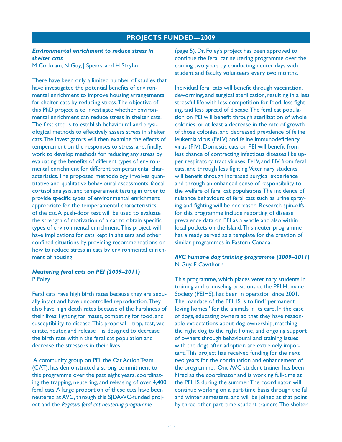## **PROJECTS FUNDED—2009**

### *Environmental enrichment to reduce stress in shelter cats*

M Cockram, N Guy, J Spears, and H Stryhn

There have been only a limited number of studies that have investigated the potential benefits of environmental enrichment to improve housing arrangements for shelter cats by reducing stress. The objective of this PhD project is to investigate whether environmental enrichment can reduce stress in shelter cats. The first step is to establish behavioural and physiological methods to effectively assess stress in shelter cats. The investigators will then examine the effects of temperament on the responses to stress, and, finally, work to develop methods for reducing any stress by evaluating the benefits of different types of environmental enrichment for different temperamental characteristics. The proposed methodology involves quantitative and qualitative behavioural assessments, faecal cortisol analysis, and temperament testing in order to provide specific types of environmental enrichment appropriate for the temperamental characteristics of the cat. A push-door test will be used to evaluate the strength of motivation of a cat to obtain specific types of environmental enrichment. This project will have implications for cats kept in shelters and other confined situations by providing recommendations on how to reduce stress in cats by environmental enrichment of housing.

### *Neutering feral cats on PEI (2009–2011)* P Foley

Feral cats have high birth rates because they are sexually intact and have uncontrolled reproduction. They also have high death rates because of the harshness of their lives: fighting for mates, competing for food, and susceptibility to disease. This proposal—trap, test, vaccinate, neuter, and release—is designed to decrease the birth rate within the feral cat population and decrease the stressors in their lives.

 A community group on PEI, the Cat Action Team (CAT), has demonstrated a strong commitment to this programme over the past eight years, coordinating the trapping, neutering, and releasing of over 4,400 feral cats. A large proportion of these cats have been neutered at AVC, through this SJDAWC-funded project and the *Pegasus feral cat neutering programme*

(page 5). Dr. Foley's project has been approved to continue the feral cat neutering programme over the coming two years by conducting neuter days with student and faculty volunteers every two months.

Individual feral cats will benefit through vaccination, deworming, and surgical sterilization, resulting in a less stressful life with less competition for food, less fighting, and less spread of disease. The feral cat population on PEI will benefit through sterilization of whole colonies, or at least a decrease in the rate of growth of those colonies, and decreased prevalence of feline leukemia virus (FeLV) and feline immunodeficiency virus (FIV). Domestic cats on PEI will benefit from less chance of contracting infectious diseases like upper respiratory tract viruses, FeLV, and FIV from feral cats, and through less fighting. Veterinary students will benefit through increased surgical experience and through an enhanced sense of responsibility to the welfare of feral cat populations. The incidence of nuisance behaviours of feral cats such as urine spraying and fighting will be decreased. Research spin-offs for this programme include reporting of disease prevalence data on PEI as a whole and also within local pockets on the Island. This neuter programme has already served as a template for the creation of similar programmes in Eastern Canada.

## *AVC humane dog training programme (2009–2011)* N Guy, E Cawthorn

This programme, which places veterinary students in training and counseling positions at the PEI Humane Society (PEIHS), has been in operation since 2001. The mandate of the PEIHS is to find "permanent loving homes" for the animals in its care. In the case of dogs, educating owners so that they have reasonable expectations about dog ownership, matching the right dog to the right home, and ongoing support of owners through behavioural and training issues with the dogs after adoption are extremely important. This project has received funding for the next two years for the continuation and enhancement of the programme. One AVC student trainer has been hired as the coordinator and is working full-time at the PEIHS during the summer. The coordinator will continue working on a part-time basis through the fall and winter semesters, and will be joined at that point by three other part-time student trainers. The shelter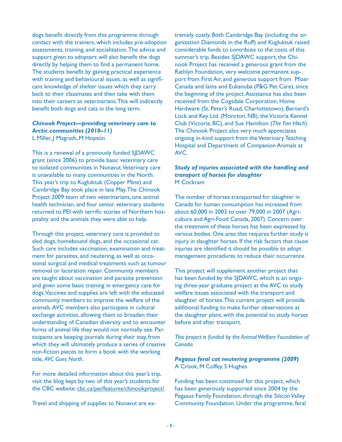dogs benefit directly from this programme through contact with the trainers, which includes pre-adoption assessments, training, and socialization. The advice and support given to adopters will also benefit the dogs directly by helping them to find a permanent home. The students benefit by gaining practical experience with training and behavioural issues, as well as significant knowledge of shelter issues which they carry back to their classmates and then take with them into their careers as veterinarians. This will indirectly benefit both dogs and cats in the long term.

### *Chinook Project—providing veterinary care to Arctic communities (2010–11)*  L Miller, J Magrath, M Hopson

This is a renewal of a previously funded SJDAWC grant (since 2006) to provide basic veterinary care to isolated communities in Nunavut. Veterinary care is unavailable to many communities in the North. This year's trip to Kugluktuk (Copper Mine) and Cambridge Bay took place in late May. The Chinook Project 2009 team of two veterinarians, one animal health technician, and four senior veterinary students returned to PEI with terrific stories of Northern hospitality and the animals they were able to help.

Through this project, veterinary care is provided to sled dogs, homebound dogs, and the occasional cat. Such care includes vaccination, examination and treatment for parasites, and neutering, as well as occasional surgical and medical treatments such as tumour removal or laceration repair. Community members are taught about vaccination and parasite prevention and given some basic training in emergency care for dogs. Vaccines and supplies are left with the educated community members to improve the welfare of the animals. AVC members also participate in cultural exchange activities, allowing them to broaden their understanding of Canadian diversity and to encounter forms of animal life they would not normally see. Participants are keeping journals during their stay, from which they will ultimately produce a series of creative non-fiction pieces to form a book with the working title, *AVC Goes North*.

For more detailed information about this year's trip, visit the blog kept by two of this year's students for the CBC website: cbc.ca/pei/features/chinookproject/.

Travel and shipping of supplies to Nunavut are ex-

tremely costly. Both Cambridge Bay (including the organization Diamonds in the Ruff) and Kugluktuk raised considerable funds to contribute to the costs of this summer's trip. Besides SJDAWC support, the Chinook Project has received a generous grant from the Rathlyn Foundation, very welcome permanent support from First Air, and generous support from Pfizer Canada and Iams and Eukanuba (P&G Pet Care), since the beginning of the project. Assistance has also been received from the Cogsdale Corporation, Home Hardware (St. Peter's Road, Charlottetown), Bernard's Lock and Key Ltd. (Moncton, NB), the Victoria Kennel Club (Victoria, BC), and Sue Hamilton (*The Fan Hitch*). The Chinook Project also very much appreciates ongoing in-kind support from the Veterinary Teaching Hospital and Department of Companion Animals at AVC.

## *Study of injuries associated with the handling and transport of horses for slaughter* M Cockram

The number of horses transported for slaughter in Canada for human consumption has increased from about 60,000 in 2003 to over 79,000 in 2007 (Agriculture and Agri-Food Canada, 2007). Concern over the treatment of these horses has been expressed by various bodies. One area that requires further study is injury in slaughter horses. If the risk factors that cause injuries are identified it should be possible to adopt management procedures to reduce their occurrence.

This project will supplement another project that has been funded by the SJDAWC, which is an ongoing three-year graduate project at the AVC to study welfare issues associated with the transport and slaughter of horses. This current project will provide additional funding to make further observations at the slaughter plant, with the potential to study horses before and after transport.

*This project is funded by the Animal Welfare Foundation of Canada.* 

### *Pegasus feral cat neutering programme (2009)* A Crook, M Coffey, S Hughes

Funding has been continued for this project, which has been generously supported since 2004 by the Pegasus Family Foundation, through the Silicon Valley Community Foundation. Under the programme, feral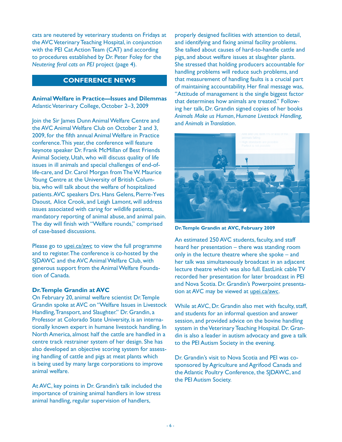cats are neutered by veterinary students on Fridays at the AVC Veterinary Teaching Hospital, in conjunction with the PEI Cat Action Team (CAT) and according to procedures established by Dr. Peter Foley for the *Neutering feral cats on PEI* project (page 4).

## **CONFERENCE NEWS**

## **Animal Welfare in Practice—Issues and Dilemmas** Atlantic Veterinary College, October 2–3, 2009

Join the Sir James Dunn Animal Welfare Centre and the AVC Animal Welfare Club on October 2 and 3, 2009, for the fifth annual Animal Welfare in Practice conference. This year, the conference will feature keynote speaker Dr. Frank McMillan of Best Friends Animal Society, Utah, who will discuss quality of life issues in ill animals and special challenges of end-oflife-care, and Dr. Carol Morgan from The W. Maurice Young Centre at the University of British Columbia, who will talk about the welfare of hospitalized patients. AVC speakers Drs. Hans Gelens, Pierre-Yves Daoust, Alice Crook, and Leigh Lamont, will address issues associated with caring for wildlife patients, mandatory reporting of animal abuse, and animal pain. The day will finish with "Welfare rounds," comprised of case-based discussions.

Please go to *upei.ca/awc* to view the full programme and to register. The conference is co-hosted by the SJDAWC and the AVC Animal Welfare Club, with generous support from the Animal Welfare Foundation of Canada.

#### **Dr. Temple Grandin at AVC**

On February 20, animal welfare scientist Dr. Temple Grandin spoke at AVC on "Welfare Issues in Livestock Handling, Transport, and Slaughter." Dr. Grandin, a Professor at Colorado State University, is an internationally known expert in humane livestock handling. In North America, almost half the cattle are handled in a centre track restrainer system of her design. She has also developed an objective scoring system for assessing handling of cattle and pigs at meat plants which is being used by many large corporations to improve animal welfare.

At AVC, key points in Dr. Grandin's talk included the importance of training animal handlers in low stress animal handling, regular supervision of handlers,

properly designed facilities with attention to detail, and identifying and fixing animal facility problems. She talked about causes of hard-to-handle cattle and pigs, and about welfare issues at slaughter plants. She stressed that holding producers accountable for handling problems will reduce such problems, and that measurement of handling faults is a crucial part of maintaining accountability. Her final message was, "Attitude of management is the single biggest factor that determines how animals are treated." Following her talk, Dr. Grandin signed copies of her books *Animals Make us Human*, *Humane Livestock Handling,*  and *Animals in Translation*.



**Dr. Temple Grandin at AVC, February 2009**

An estimated 250 AVC students, faculty, and staff heard her presentation – there was standing room only in the lecture theatre where she spoke – and her talk was simultaneously broadcast in an adjacent lecture theatre which was also full. EastLink cable TV recorded her presentation for later broadcast in PEI and Nova Scotia. Dr. Grandin's Powerpoint presentation at AVC may be viewed at upei.ca/awc.

While at AVC, Dr. Grandin also met with faculty, staff, and students for an informal question and answer session, and provided advice on the bovine handling system in the Veterinary Teaching Hospital. Dr. Grandin is also a leader in autism advocacy and gave a talk to the PEI Autism Society in the evening.

Dr. Grandin's visit to Nova Scotia and PEI was cosponsored by Agriculture and Agrifood Canada and the Atlantic Poultry Conference, the SJDAWC, and the PEI Autism Society.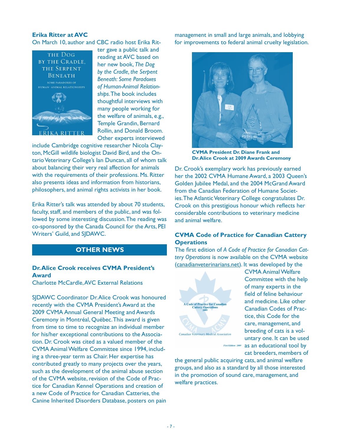### **Erika Ritter at AVC**

On March 10, author and CBC radio host Erika Rit-



ter gave a public talk and reading at AVC based on her new book, *The Dog by the Cradle, the Serpent Beneath: Some Paradoxes of Human-Animal Relationships*. The book includes thoughtful interviews with many people working for the welfare of animals, e.g., Temple Grandin, Bernard Rollin, and Donald Broom. Other experts interviewed

include Cambridge cognitive researcher Nicola Clayton, McGill wildlife biologist David Bird, and the Ontario Veterinary College's Ian Duncan, all of whom talk about balancing their very real affection for animals with the requirements of their professions. Ms. Ritter also presents ideas and information from historians, philosophers, and animal rights activists in her book.

Erika Ritter's talk was attended by about 70 students, faculty, staff, and members of the public, and was followed by some interesting discussion. The reading was co-sponsored by the Canada Council for the Arts, PEI Writers' Guild, and SJDAWC.

## **OTHER NEWS**

### **Dr. Alice Crook receives CVMA President's Award**

Charlotte McCardle, AVC External Relations

SJDAWC Coordinator Dr. Alice Crook was honoured recently with the CVMA President's Award at the 2009 CVMA Annual General Meeting and Awards Ceremony in Montréal, Québec. This award is given from time to time to recognize an individual member for his/her exceptional contributions to the Association. Dr. Crook was cited as a valued member of the CVMA Animal Welfare Committee since 1994, including a three-year term as Chair. Her expertise has contributed greatly to many projects over the years, such as the development of the animal abuse section of the CVMA website, revision of the Code of Practice for Canadian Kennel Operations and creation of a new Code of Practice for Canadian Catteries, the Canine Inherited Disorders Database, posters on pain management in small and large animals, and lobbying for improvements to federal animal cruelty legislation.



**CVMA President Dr. Diane Frank and Dr. Alice Crook at 2009 Awards Ceremony**

Dr. Crook's exemplary work has previously earned her the 2002 CVMA Humane Award, a 2003 Queen's Golden Jubilee Medal, and the 2004 McGrand Award from the Canadian Federation of Humane Societies. The Atlantic Veterinary College congratulates Dr. Crook on this prestigious honour which reflects her considerable contributions to veterinary medicine and animal welfare.

## **CVMA Code of Practice for Canadian Cattery Operations**

The first edition of *A Code of Practice for Canadian Cattery Operations* is now available on the CVMA website (canadianveterinarians.net). It was developed by the



CVMA Animal Welfare Committee with the help of many experts in the field of feline behaviour and medicine. Like other Canadian Codes of Practice, this Code for the care, management, and breeding of cats is a voluntary one. It can be used First Edition: 2009 as an educational tool by cat breeders, members of

the general public acquiring cats, and animal welfare groups, and also as a standard by all those interested in the promotion of sound care, management, and welfare practices.